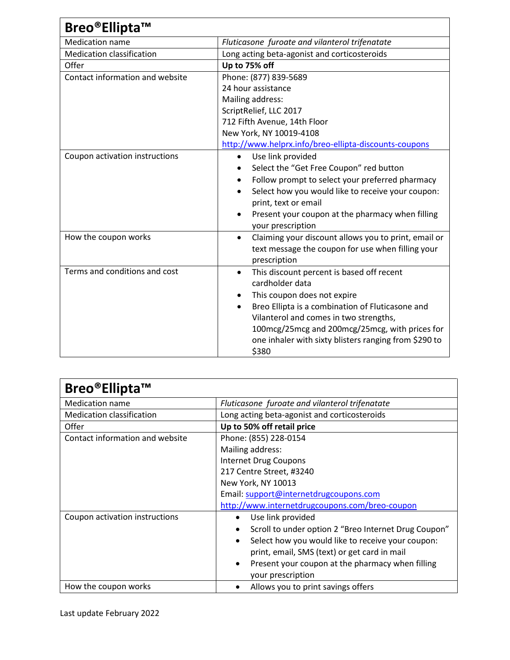| Breo®Ellipta™                    |                                                                                                                                                                                                                                                                                                                                         |
|----------------------------------|-----------------------------------------------------------------------------------------------------------------------------------------------------------------------------------------------------------------------------------------------------------------------------------------------------------------------------------------|
| Medication name                  | Fluticasone furoate and vilanterol trifenatate                                                                                                                                                                                                                                                                                          |
| <b>Medication classification</b> | Long acting beta-agonist and corticosteroids                                                                                                                                                                                                                                                                                            |
| Offer                            | Up to 75% off                                                                                                                                                                                                                                                                                                                           |
| Contact information and website  | Phone: (877) 839-5689<br>24 hour assistance<br>Mailing address:<br>ScriptRelief, LLC 2017                                                                                                                                                                                                                                               |
|                                  | 712 Fifth Avenue, 14th Floor<br>New York, NY 10019-4108<br>http://www.helprx.info/breo-ellipta-discounts-coupons                                                                                                                                                                                                                        |
| Coupon activation instructions   | Use link provided<br>$\bullet$<br>Select the "Get Free Coupon" red button<br>Follow prompt to select your preferred pharmacy<br>$\bullet$<br>Select how you would like to receive your coupon:<br>$\bullet$<br>print, text or email<br>Present your coupon at the pharmacy when filling<br>$\bullet$<br>your prescription               |
| How the coupon works             | Claiming your discount allows you to print, email or<br>$\bullet$<br>text message the coupon for use when filling your<br>prescription                                                                                                                                                                                                  |
| Terms and conditions and cost    | This discount percent is based off recent<br>$\bullet$<br>cardholder data<br>This coupon does not expire<br>Breo Ellipta is a combination of Fluticasone and<br>$\bullet$<br>Vilanterol and comes in two strengths,<br>100mcg/25mcg and 200mcg/25mcg, with prices for<br>one inhaler with sixty blisters ranging from \$290 to<br>\$380 |

| Breo®Ellipta™                    |                                                                                    |  |
|----------------------------------|------------------------------------------------------------------------------------|--|
| <b>Medication name</b>           | Fluticasone furoate and vilanterol trifenatate                                     |  |
| <b>Medication classification</b> | Long acting beta-agonist and corticosteroids                                       |  |
| Offer                            | Up to 50% off retail price                                                         |  |
| Contact information and website  | Phone: (855) 228-0154                                                              |  |
|                                  | Mailing address:                                                                   |  |
|                                  | <b>Internet Drug Coupons</b>                                                       |  |
|                                  | 217 Centre Street, #3240                                                           |  |
|                                  | New York, NY 10013                                                                 |  |
|                                  | Email: support@internetdrugcoupons.com                                             |  |
|                                  | http://www.internetdrugcoupons.com/breo-coupon                                     |  |
| Coupon activation instructions   | Use link provided<br>$\bullet$                                                     |  |
|                                  | Scroll to under option 2 "Breo Internet Drug Coupon"<br>$\bullet$                  |  |
|                                  | Select how you would like to receive your coupon:<br>$\bullet$                     |  |
|                                  | print, email, SMS (text) or get card in mail                                       |  |
|                                  | Present your coupon at the pharmacy when filling<br>$\bullet$<br>your prescription |  |
| How the coupon works             | Allows you to print savings offers                                                 |  |